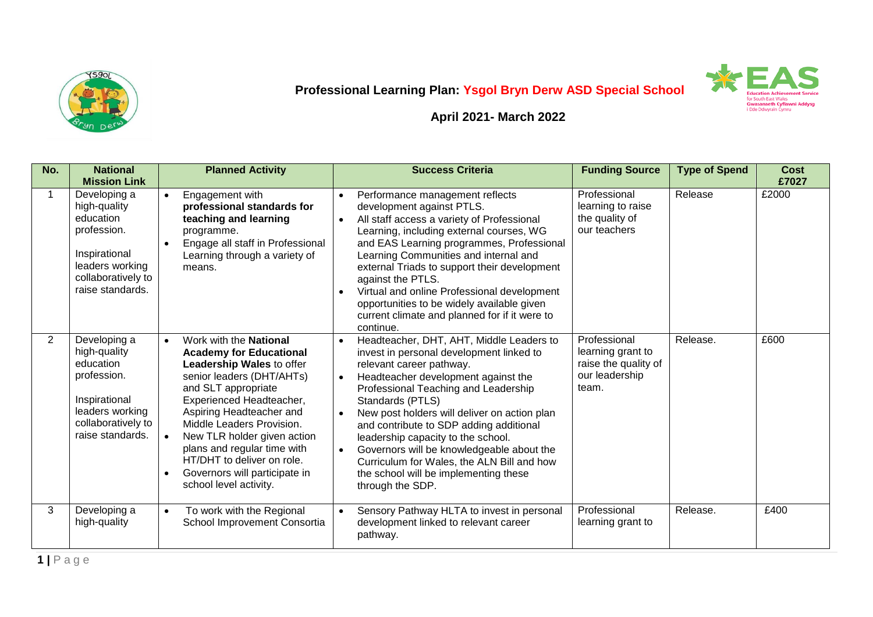



**April 2021- March 2022**

| No. | <b>National</b><br><b>Mission Link</b>                                                                                                 | <b>Planned Activity</b>                                                                                                                                                                                                                                                                                                                                                                                                | <b>Success Criteria</b>                                                                                                                                                                                                                                                                                                                                                                                                                                                                                                                                          | <b>Funding Source</b>                                                                | <b>Type of Spend</b> | <b>Cost</b><br>£7027 |
|-----|----------------------------------------------------------------------------------------------------------------------------------------|------------------------------------------------------------------------------------------------------------------------------------------------------------------------------------------------------------------------------------------------------------------------------------------------------------------------------------------------------------------------------------------------------------------------|------------------------------------------------------------------------------------------------------------------------------------------------------------------------------------------------------------------------------------------------------------------------------------------------------------------------------------------------------------------------------------------------------------------------------------------------------------------------------------------------------------------------------------------------------------------|--------------------------------------------------------------------------------------|----------------------|----------------------|
|     | Developing a<br>high-quality<br>education<br>profession.<br>Inspirational<br>leaders working<br>collaboratively to<br>raise standards. | Engagement with<br>$\bullet$<br>professional standards for<br>teaching and learning<br>programme.<br>Engage all staff in Professional<br>Learning through a variety of<br>means.                                                                                                                                                                                                                                       | Performance management reflects<br>$\bullet$<br>development against PTLS.<br>All staff access a variety of Professional<br>$\bullet$<br>Learning, including external courses, WG<br>and EAS Learning programmes, Professional<br>Learning Communities and internal and<br>external Triads to support their development<br>against the PTLS.<br>Virtual and online Professional development<br>opportunities to be widely available given<br>current climate and planned for if it were to<br>continue.                                                           | Professional<br>learning to raise<br>the quality of<br>our teachers                  | Release              | £2000                |
| 2   | Developing a<br>high-quality<br>education<br>profession.<br>Inspirational<br>leaders working<br>collaboratively to<br>raise standards. | Work with the <b>National</b><br>$\bullet$<br><b>Academy for Educational</b><br>Leadership Wales to offer<br>senior leaders (DHT/AHTs)<br>and SLT appropriate<br>Experienced Headteacher,<br>Aspiring Headteacher and<br>Middle Leaders Provision.<br>New TLR holder given action<br>$\bullet$<br>plans and regular time with<br>HT/DHT to deliver on role.<br>Governors will participate in<br>school level activity. | Headteacher, DHT, AHT, Middle Leaders to<br>$\bullet$<br>invest in personal development linked to<br>relevant career pathway.<br>Headteacher development against the<br>$\bullet$<br>Professional Teaching and Leadership<br>Standards (PTLS)<br>New post holders will deliver on action plan<br>$\bullet$<br>and contribute to SDP adding additional<br>leadership capacity to the school.<br>Governors will be knowledgeable about the<br>$\bullet$<br>Curriculum for Wales, the ALN Bill and how<br>the school will be implementing these<br>through the SDP. | Professional<br>learning grant to<br>raise the quality of<br>our leadership<br>team. | Release.             | £600                 |
| 3   | Developing a<br>high-quality                                                                                                           | To work with the Regional<br>$\bullet$<br>School Improvement Consortia                                                                                                                                                                                                                                                                                                                                                 | Sensory Pathway HLTA to invest in personal<br>development linked to relevant career<br>pathway.                                                                                                                                                                                                                                                                                                                                                                                                                                                                  | Professional<br>learning grant to                                                    | Release.             | £400                 |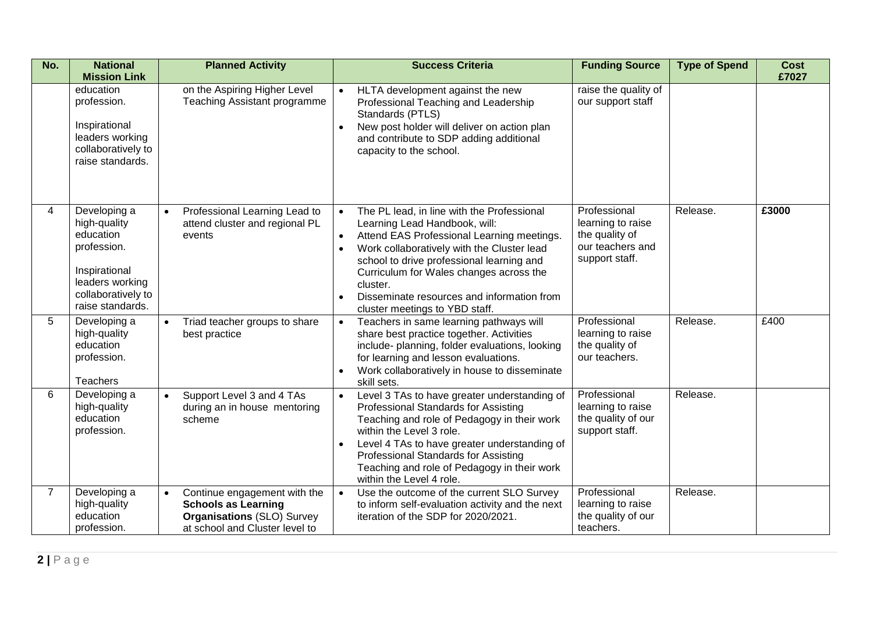| No.            | <b>National</b><br><b>Mission Link</b>                                                                                                 | <b>Planned Activity</b>                                                                                                                        | <b>Success Criteria</b>                                                                                                                                                                                                                                                                                                                                                  | <b>Funding Source</b>                                                                     | <b>Type of Spend</b> | <b>Cost</b><br>£7027 |
|----------------|----------------------------------------------------------------------------------------------------------------------------------------|------------------------------------------------------------------------------------------------------------------------------------------------|--------------------------------------------------------------------------------------------------------------------------------------------------------------------------------------------------------------------------------------------------------------------------------------------------------------------------------------------------------------------------|-------------------------------------------------------------------------------------------|----------------------|----------------------|
|                | education<br>profession.<br>Inspirational<br>leaders working<br>collaboratively to<br>raise standards.                                 | on the Aspiring Higher Level<br>Teaching Assistant programme                                                                                   | HLTA development against the new<br>$\bullet$<br>Professional Teaching and Leadership<br>Standards (PTLS)<br>New post holder will deliver on action plan<br>and contribute to SDP adding additional<br>capacity to the school.                                                                                                                                           | raise the quality of<br>our support staff                                                 |                      |                      |
| 4              | Developing a<br>high-quality<br>education<br>profession.<br>Inspirational<br>leaders working<br>collaboratively to<br>raise standards. | Professional Learning Lead to<br>$\bullet$<br>attend cluster and regional PL<br>events                                                         | The PL lead, in line with the Professional<br>Learning Lead Handbook, will:<br>Attend EAS Professional Learning meetings.<br>Work collaboratively with the Cluster lead<br>school to drive professional learning and<br>Curriculum for Wales changes across the<br>cluster.<br>Disseminate resources and information from<br>$\bullet$<br>cluster meetings to YBD staff. | Professional<br>learning to raise<br>the quality of<br>our teachers and<br>support staff. | Release.             | £3000                |
| 5              | Developing a<br>high-quality<br>education<br>profession.<br>Teachers                                                                   | Triad teacher groups to share<br>$\bullet$<br>best practice                                                                                    | Teachers in same learning pathways will<br>$\bullet$<br>share best practice together. Activities<br>include- planning, folder evaluations, looking<br>for learning and lesson evaluations.<br>Work collaboratively in house to disseminate<br>skill sets.                                                                                                                | Professional<br>learning to raise<br>the quality of<br>our teachers.                      | Release.             | £400                 |
| 6              | Developing a<br>high-quality<br>education<br>profession.                                                                               | Support Level 3 and 4 TAs<br>$\bullet$<br>during an in house mentoring<br>scheme                                                               | Level 3 TAs to have greater understanding of<br>$\bullet$<br>Professional Standards for Assisting<br>Teaching and role of Pedagogy in their work<br>within the Level 3 role.<br>Level 4 TAs to have greater understanding of<br>Professional Standards for Assisting<br>Teaching and role of Pedagogy in their work<br>within the Level 4 role.                          | Professional<br>learning to raise<br>the quality of our<br>support staff.                 | Release.             |                      |
| $\overline{7}$ | Developing a<br>high-quality<br>education<br>profession.                                                                               | Continue engagement with the<br>$\bullet$<br><b>Schools as Learning</b><br><b>Organisations (SLO) Survey</b><br>at school and Cluster level to | Use the outcome of the current SLO Survey<br>to inform self-evaluation activity and the next<br>iteration of the SDP for 2020/2021.                                                                                                                                                                                                                                      | Professional<br>learning to raise<br>the quality of our<br>teachers.                      | Release.             |                      |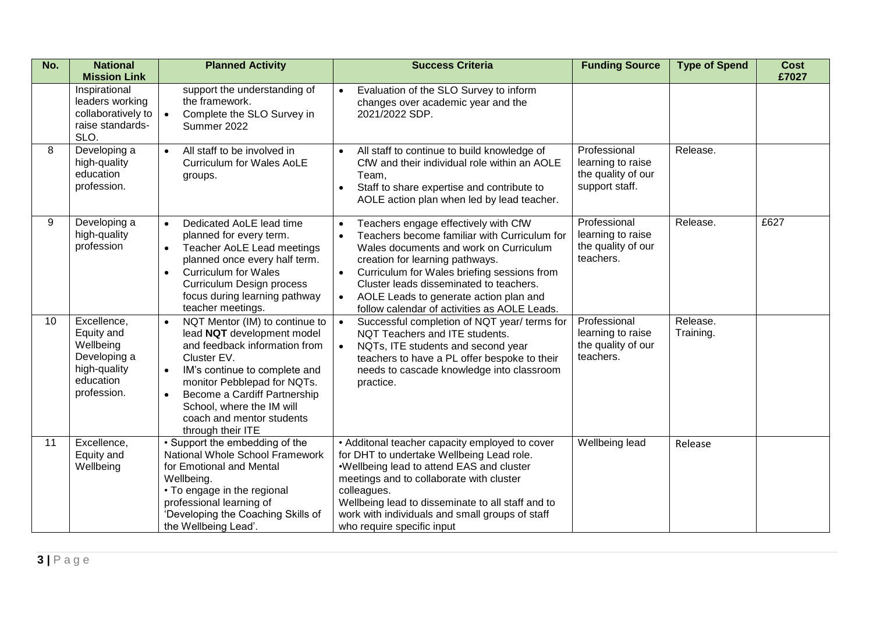| No. | <b>National</b><br><b>Mission Link</b>                                                             | <b>Planned Activity</b>                                                                                                                                                                                                                                                                                                            | <b>Success Criteria</b>                                                                                                                                                                                                                                                                                                                                                                      | <b>Funding Source</b>                                                     | <b>Type of Spend</b>  | <b>Cost</b><br>£7027 |
|-----|----------------------------------------------------------------------------------------------------|------------------------------------------------------------------------------------------------------------------------------------------------------------------------------------------------------------------------------------------------------------------------------------------------------------------------------------|----------------------------------------------------------------------------------------------------------------------------------------------------------------------------------------------------------------------------------------------------------------------------------------------------------------------------------------------------------------------------------------------|---------------------------------------------------------------------------|-----------------------|----------------------|
|     | Inspirational<br>leaders working<br>collaboratively to<br>raise standards-<br>SLO.                 | support the understanding of<br>the framework.<br>Complete the SLO Survey in<br>$\bullet$<br>Summer 2022                                                                                                                                                                                                                           | Evaluation of the SLO Survey to inform<br>changes over academic year and the<br>2021/2022 SDP.                                                                                                                                                                                                                                                                                               |                                                                           |                       |                      |
| 8   | Developing a<br>high-quality<br>education<br>profession.                                           | All staff to be involved in<br>$\bullet$<br><b>Curriculum for Wales AoLE</b><br>groups.                                                                                                                                                                                                                                            | All staff to continue to build knowledge of<br>$\bullet$<br>CfW and their individual role within an AOLE<br>Team.<br>Staff to share expertise and contribute to<br>$\bullet$<br>AOLE action plan when led by lead teacher.                                                                                                                                                                   | Professional<br>learning to raise<br>the quality of our<br>support staff. | Release.              |                      |
| 9   | Developing a<br>high-quality<br>profession                                                         | Dedicated AoLE lead time<br>$\bullet$<br>planned for every term.<br>Teacher AoLE Lead meetings<br>$\bullet$<br>planned once every half term.<br><b>Curriculum for Wales</b><br>$\bullet$<br>Curriculum Design process<br>focus during learning pathway<br>teacher meetings.                                                        | Teachers engage effectively with CfW<br>Teachers become familiar with Curriculum for<br>$\bullet$<br>Wales documents and work on Curriculum<br>creation for learning pathways.<br>Curriculum for Wales briefing sessions from<br>$\bullet$<br>Cluster leads disseminated to teachers.<br>AOLE Leads to generate action plan and<br>$\bullet$<br>follow calendar of activities as AOLE Leads. | Professional<br>learning to raise<br>the quality of our<br>teachers.      | Release.              | £627                 |
| 10  | Excellence,<br>Equity and<br>Wellbeing<br>Developing a<br>high-quality<br>education<br>profession. | NQT Mentor (IM) to continue to<br>$\bullet$<br>lead NQT development model<br>and feedback information from<br>Cluster EV.<br>IM's continue to complete and<br>$\bullet$<br>monitor Pebblepad for NQTs.<br>Become a Cardiff Partnership<br>$\bullet$<br>School, where the IM will<br>coach and mentor students<br>through their ITE | Successful completion of NQT year/ terms for<br>$\bullet$<br>NQT Teachers and ITE students.<br>NQTs, ITE students and second year<br>$\bullet$<br>teachers to have a PL offer bespoke to their<br>needs to cascade knowledge into classroom<br>practice.                                                                                                                                     | Professional<br>learning to raise<br>the quality of our<br>teachers.      | Release.<br>Training. |                      |
| 11  | Excellence,<br>Equity and<br>Wellbeing                                                             | • Support the embedding of the<br>National Whole School Framework<br>for Emotional and Mental<br>Wellbeing.<br>• To engage in the regional<br>professional learning of<br>'Developing the Coaching Skills of<br>the Wellbeing Lead'.                                                                                               | • Additonal teacher capacity employed to cover<br>for DHT to undertake Wellbeing Lead role.<br>.Wellbeing lead to attend EAS and cluster<br>meetings and to collaborate with cluster<br>colleagues.<br>Wellbeing lead to disseminate to all staff and to<br>work with individuals and small groups of staff<br>who require specific input                                                    | Wellbeing lead                                                            | Release               |                      |